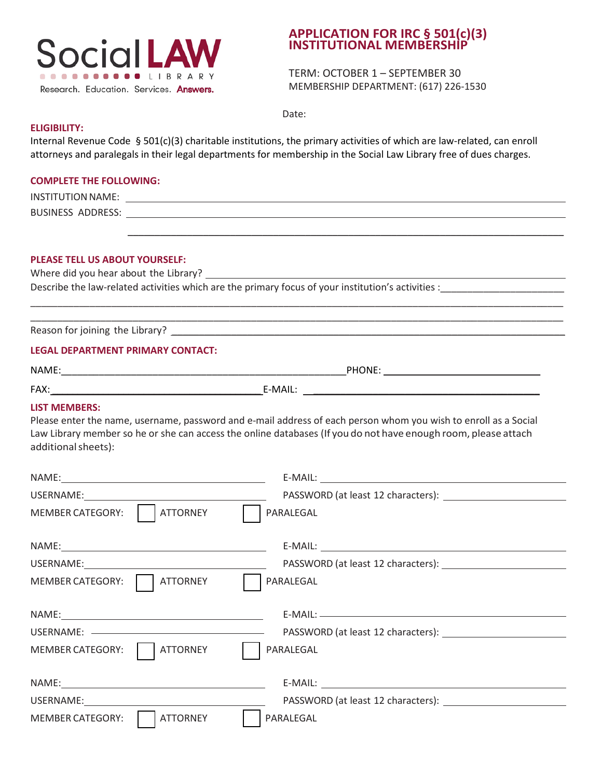

# **APPLICATION FOR IRC § 501(c)(3) INSTITUTIONAL MEMBERSHIP**

TERM: OCTOBER 1 – SEPTEMBER 30 MEMBERSHIP DEPARTMENT: (617) 226-1530

Date:

### **ELIGIBILITY:**

Internal Revenue Code § 501(c)(3) charitable institutions, the primary activities of which are law-related, can enroll attorneys and paralegals in their legal departments for membership in the Social Law Library free of dues charges.

#### **COMPLETE THE FOLLOWING:**

INSTITUTIONNAME: BUSINESS ADDRESS: University of the contract of the contract of the contract of the contract of the contract of the contract of the contract of the contract of the contract of the contract of the contract of the contract o

\_\_\_\_\_\_\_\_\_\_\_\_\_\_\_\_\_\_\_\_\_\_\_\_\_\_\_\_\_\_\_\_\_\_\_\_\_\_\_\_\_\_\_\_\_\_\_\_\_\_\_\_\_\_\_\_\_\_\_\_\_\_\_\_\_\_\_\_\_\_\_\_\_\_\_\_\_\_\_\_\_\_\_\_\_\_\_\_\_\_\_\_\_\_\_\_\_\_\_ \_\_\_\_\_\_\_\_\_\_\_\_\_\_\_\_\_\_\_\_\_\_\_\_\_\_\_\_\_\_\_\_\_\_\_\_\_\_\_\_\_\_\_\_\_\_\_\_\_\_\_\_\_\_\_\_\_\_\_\_\_\_\_\_\_\_\_\_\_\_\_\_\_\_\_\_\_\_\_\_\_\_\_\_\_\_\_\_\_\_\_\_\_\_\_\_\_\_\_

# **PLEASE TELL US ABOUT YOURSELF:**

Where did you hear about the Library?

Describe the law-related activities which are the primary focus of your institution's activities :

Reason for joining the Library? \_\_\_\_\_\_\_\_\_\_\_\_\_\_\_\_\_\_\_\_\_\_\_\_\_\_\_\_\_\_\_\_\_\_\_\_\_\_\_\_\_\_\_\_\_\_\_\_\_\_\_\_\_\_\_\_\_\_\_\_\_\_\_\_\_\_\_\_\_\_\_\_\_

### **LEGAL DEPARTMENT PRIMARY CONTACT:**

| NAME |
|------|
|------|

NAME:\_\_\_\_\_\_\_\_\_\_\_\_\_\_\_\_\_\_\_\_\_\_\_\_\_\_\_\_\_\_\_\_\_\_\_\_\_\_\_\_\_\_\_\_\_\_\_\_\_\_\_\_\_PHONE: \_\_\_\_\_\_\_\_\_\_\_\_\_\_\_\_\_\_\_\_\_\_\_\_\_\_\_\_\_

\_\_\_\_\_\_\_\_\_\_\_\_\_\_\_\_\_\_\_\_\_\_\_\_\_\_\_\_\_\_\_\_\_\_\_\_\_\_\_\_\_\_\_\_\_\_\_\_\_\_\_\_\_\_\_\_\_\_\_\_\_\_\_\_\_\_\_\_\_\_\_\_\_\_\_\_\_\_\_\_\_

 $E\text{-}{\sf{MAIL:}}$ 

# **LIST MEMBERS:**

Please enter the name, username, password and e-mail address of each person whom you wish to enroll as a Social Law Library member so he or she can access the online databases (If you do not have enough room, please attach additionalsheets):

| <b>ATTORNEY</b><br>MEMBER CATEGORY: 1 | PARALEGAL |
|---------------------------------------|-----------|
|                                       |           |
| USERNAME: USERNAME:                   |           |
| MEMBER CATEGORY:     ATTORNEY         | PARALEGAL |
|                                       |           |
| USERNAME: ———————————————————————     |           |
| MEMBER CATEGORY:     ATTORNEY         | PARALEGAL |
|                                       |           |
|                                       |           |
| ATTORNEY<br>MEMBER CATEGORY:          | PARALEGAL |